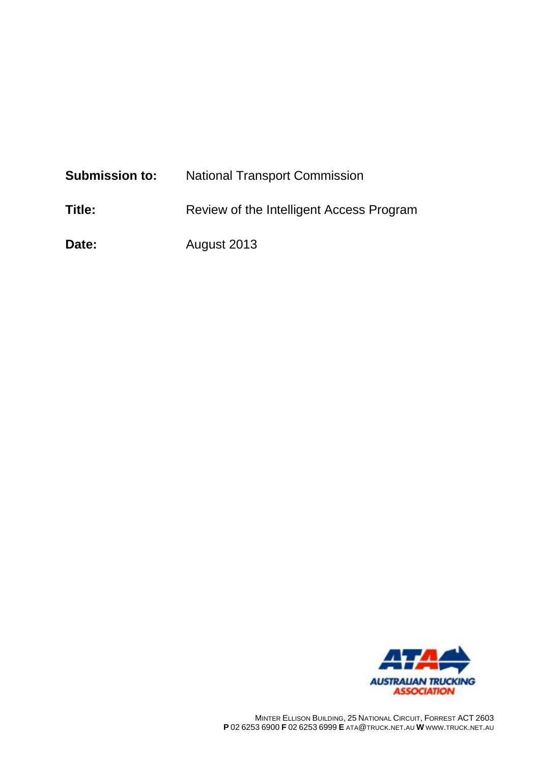| <b>Submission to:</b> | <b>National Transport Commission</b>     |
|-----------------------|------------------------------------------|
| Title:                | Review of the Intelligent Access Program |
| Date:                 | August 2013                              |

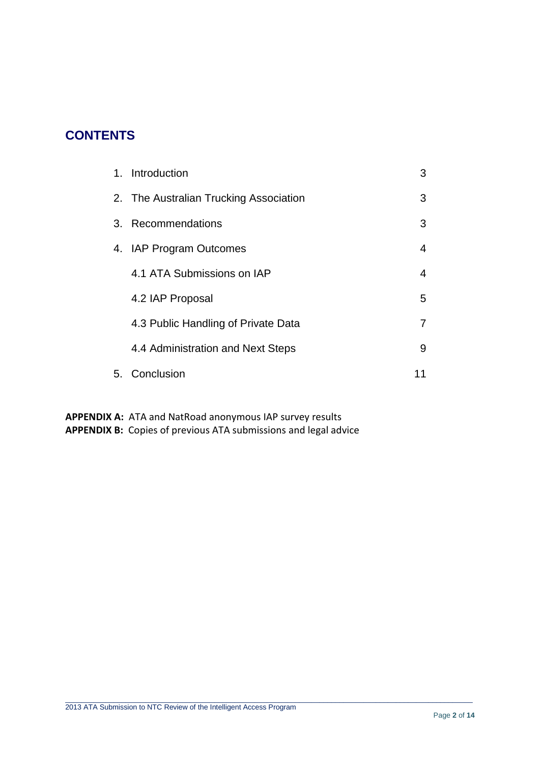# **CONTENTS**

| 1. Introduction                        | 3 |
|----------------------------------------|---|
| 2. The Australian Trucking Association | 3 |
| 3. Recommendations                     | 3 |
| 4. IAP Program Outcomes                | 4 |
| 4.1 ATA Submissions on IAP             | 4 |
| 4.2 IAP Proposal                       | 5 |
| 4.3 Public Handling of Private Data    | 7 |
| 4.4 Administration and Next Steps      | 9 |
| 5. Conclusion                          |   |

 $\_$  , and the set of the set of the set of the set of the set of the set of the set of the set of the set of the set of the set of the set of the set of the set of the set of the set of the set of the set of the set of th

**APPENDIX A:** ATA and NatRoad anonymous IAP survey results **APPENDIX B:** Copies of previous ATA submissions and legal advice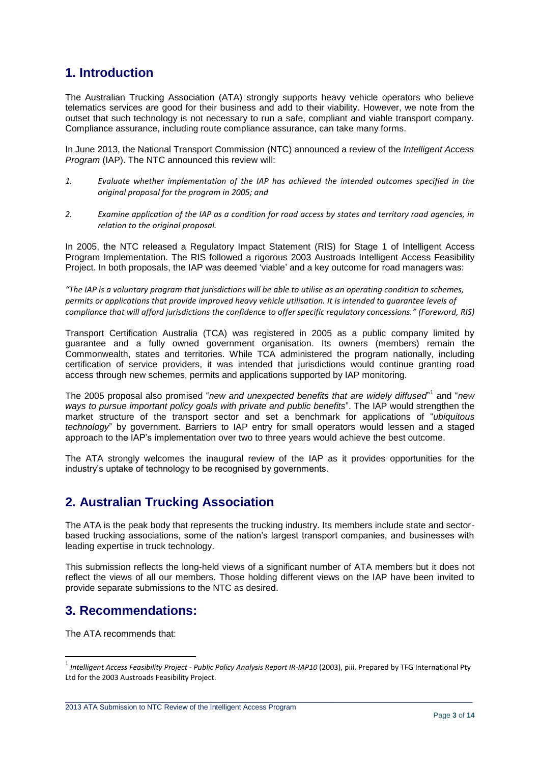# **1. Introduction**

The Australian Trucking Association (ATA) strongly supports heavy vehicle operators who believe telematics services are good for their business and add to their viability. However, we note from the outset that such technology is not necessary to run a safe, compliant and viable transport company. Compliance assurance, including route compliance assurance, can take many forms.

In June 2013, the National Transport Commission (NTC) announced a review of the *Intelligent Access Program* (IAP). The NTC announced this review will:

- *1. Evaluate whether implementation of the IAP has achieved the intended outcomes specified in the original proposal for the program in 2005; and*
- *2. Examine application of the IAP as a condition for road access by states and territory road agencies, in relation to the original proposal.*

In 2005, the NTC released a Regulatory Impact Statement (RIS) for Stage 1 of Intelligent Access Program Implementation. The RIS followed a rigorous 2003 Austroads Intelligent Access Feasibility Project. In both proposals, the IAP was deemed 'viable' and a key outcome for road managers was:

*"The IAP is a voluntary program that jurisdictions will be able to utilise as an operating condition to schemes, permits or applications that provide improved heavy vehicle utilisation. It is intended to guarantee levels of compliance that will afford jurisdictions the confidence to offer specific regulatory concessions." (Foreword, RIS)*

Transport Certification Australia (TCA) was registered in 2005 as a public company limited by guarantee and a fully owned government organisation. Its owners (members) remain the Commonwealth, states and territories. While TCA administered the program nationally, including certification of service providers, it was intended that jurisdictions would continue granting road access through new schemes, permits and applications supported by IAP monitoring.

The 2005 proposal also promised "*new and unexpected benefits that are widely diffused*" 1 and "*new ways to pursue important policy goals with private and public benefits*". The IAP would strengthen the market structure of the transport sector and set a benchmark for applications of "*ubiquitous technology*" by government. Barriers to IAP entry for small operators would lessen and a staged approach to the IAP's implementation over two to three years would achieve the best outcome.

The ATA strongly welcomes the inaugural review of the IAP as it provides opportunities for the industry's uptake of technology to be recognised by governments.

## **2. Australian Trucking Association**

The ATA is the peak body that represents the trucking industry. Its members include state and sectorbased trucking associations, some of the nation's largest transport companies, and businesses with leading expertise in truck technology.

This submission reflects the long-held views of a significant number of ATA members but it does not reflect the views of all our members. Those holding different views on the IAP have been invited to provide separate submissions to the NTC as desired.

## **3. Recommendations:**

The ATA recommends that:

**.** 

 $\_$  , and the set of the set of the set of the set of the set of the set of the set of the set of the set of the set of the set of the set of the set of the set of the set of the set of the set of the set of the set of th

2013 ATA Submission to NTC Review of the Intelligent Access Program

<sup>1</sup> *Intelligent Access Feasibility Project - Public Policy Analysis Report IR-IAP10* (2003), piii. Prepared by TFG International Pty Ltd for the 2003 Austroads Feasibility Project.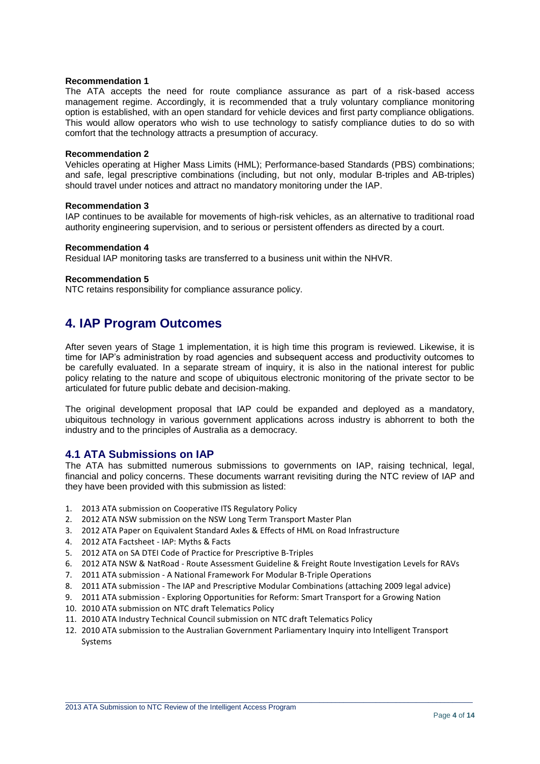#### **Recommendation 1**

The ATA accepts the need for route compliance assurance as part of a risk-based access management regime. Accordingly, it is recommended that a truly voluntary compliance monitoring option is established, with an open standard for vehicle devices and first party compliance obligations. This would allow operators who wish to use technology to satisfy compliance duties to do so with comfort that the technology attracts a presumption of accuracy.

#### **Recommendation 2**

Vehicles operating at Higher Mass Limits (HML); Performance-based Standards (PBS) combinations; and safe, legal prescriptive combinations (including, but not only, modular B-triples and AB-triples) should travel under notices and attract no mandatory monitoring under the IAP.

#### **Recommendation 3**

IAP continues to be available for movements of high-risk vehicles, as an alternative to traditional road authority engineering supervision, and to serious or persistent offenders as directed by a court.

#### **Recommendation 4**

Residual IAP monitoring tasks are transferred to a business unit within the NHVR.

#### **Recommendation 5**

NTC retains responsibility for compliance assurance policy.

### **4. IAP Program Outcomes**

After seven years of Stage 1 implementation, it is high time this program is reviewed. Likewise, it is time for IAP's administration by road agencies and subsequent access and productivity outcomes to be carefully evaluated. In a separate stream of inquiry, it is also in the national interest for public policy relating to the nature and scope of ubiquitous electronic monitoring of the private sector to be articulated for future public debate and decision-making.

The original development proposal that IAP could be expanded and deployed as a mandatory, ubiquitous technology in various government applications across industry is abhorrent to both the industry and to the principles of Australia as a democracy.

#### **4.1 ATA Submissions on IAP**

The ATA has submitted numerous submissions to governments on IAP, raising technical, legal, financial and policy concerns. These documents warrant revisiting during the NTC review of IAP and they have been provided with this submission as listed:

- 1. 2013 ATA submission on Cooperative ITS Regulatory Policy
- 2. 2012 ATA NSW submission on the NSW Long Term Transport Master Plan
- 3. 2012 ATA Paper on Equivalent Standard Axles & Effects of HML on Road Infrastructure
- 4. 2012 ATA Factsheet IAP: Myths & Facts
- 5. 2012 ATA on SA DTEI Code of Practice for Prescriptive B-Triples
- 6. 2012 ATA NSW & NatRoad Route Assessment Guideline & Freight Route Investigation Levels for RAVs
- 7. 2011 ATA submission A National Framework For Modular B-Triple Operations
- 8. 2011 ATA submission The IAP and Prescriptive Modular Combinations (attaching 2009 legal advice)
- 9. 2011 ATA submission Exploring Opportunities for Reform: Smart Transport for a Growing Nation
- 10. 2010 ATA submission on NTC draft Telematics Policy
- 11. 2010 ATA Industry Technical Council submission on NTC draft Telematics Policy
- 12. 2010 ATA submission to the Australian Government Parliamentary Inquiry into Intelligent Transport Systems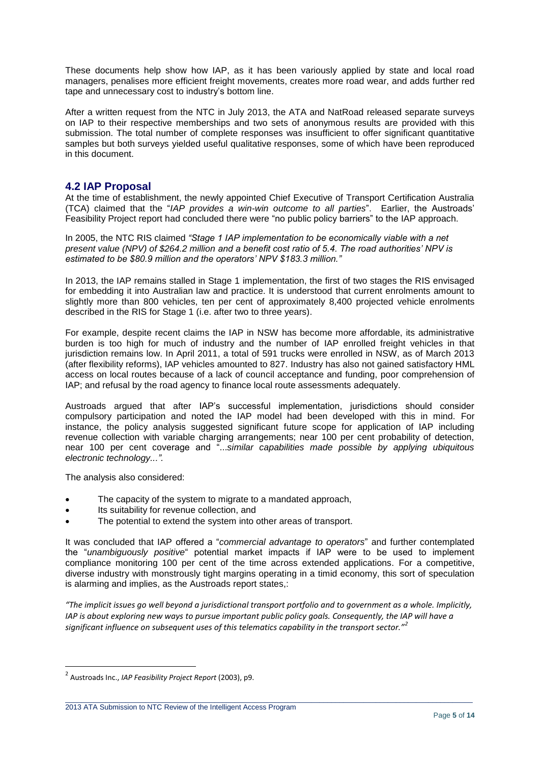These documents help show how IAP, as it has been variously applied by state and local road managers, penalises more efficient freight movements, creates more road wear, and adds further red tape and unnecessary cost to industry's bottom line.

After a written request from the NTC in July 2013, the ATA and NatRoad released separate surveys on IAP to their respective memberships and two sets of anonymous results are provided with this submission. The total number of complete responses was insufficient to offer significant quantitative samples but both surveys yielded useful qualitative responses, some of which have been reproduced in this document.

### **4.2 IAP Proposal**

At the time of establishment, the newly appointed Chief Executive of Transport Certification Australia (TCA) claimed that the "*IAP provides a win-win outcome to all parties*". Earlier, the Austroads' Feasibility Project report had concluded there were "no public policy barriers" to the IAP approach.

In 2005, the NTC RIS claimed *"Stage 1 IAP implementation to be economically viable with a net present value (NPV) of \$264.2 million and a benefit cost ratio of 5.4. The road authorities' NPV is estimated to be \$80.9 million and the operators' NPV \$183.3 million."*

In 2013, the IAP remains stalled in Stage 1 implementation, the first of two stages the RIS envisaged for embedding it into Australian law and practice. It is understood that current enrolments amount to slightly more than 800 vehicles, ten per cent of approximately 8,400 projected vehicle enrolments described in the RIS for Stage 1 (i.e. after two to three years).

For example, despite recent claims the IAP in NSW has become more affordable, its administrative burden is too high for much of industry and the number of IAP enrolled freight vehicles in that jurisdiction remains low. In April 2011, a total of 591 trucks were enrolled in NSW, as of March 2013 (after flexibility reforms), IAP vehicles amounted to 827. Industry has also not gained satisfactory HML access on local routes because of a lack of council acceptance and funding, poor comprehension of IAP; and refusal by the road agency to finance local route assessments adequately.

Austroads argued that after IAP's successful implementation, jurisdictions should consider compulsory participation and noted the IAP model had been developed with this in mind. For instance, the policy analysis suggested significant future scope for application of IAP including revenue collection with variable charging arrangements; near 100 per cent probability of detection, near 100 per cent coverage and "...*similar capabilities made possible by applying ubiquitous electronic technology...".*

The analysis also considered:

- The capacity of the system to migrate to a mandated approach,
- Its suitability for revenue collection, and
- The potential to extend the system into other areas of transport.

It was concluded that IAP offered a "*commercial advantage to operators*" and further contemplated the "*unambiguously positive*" potential market impacts if IAP were to be used to implement compliance monitoring 100 per cent of the time across extended applications. For a competitive, diverse industry with monstrously tight margins operating in a timid economy, this sort of speculation is alarming and implies, as the Austroads report states,:

*"The implicit issues go well beyond a jurisdictional transport portfolio and to government as a whole. Implicitly, IAP is about exploring new ways to pursue important public policy goals. Consequently, the IAP will have a significant influence on subsequent uses of this telematics capability in the transport sector."<sup>2</sup>*

 $\_$  , and the set of the set of the set of the set of the set of the set of the set of the set of the set of the set of the set of the set of the set of the set of the set of the set of the set of the set of the set of th

<sup>2</sup> Austroads Inc., *IAP Feasibility Project Report* (2003), p9.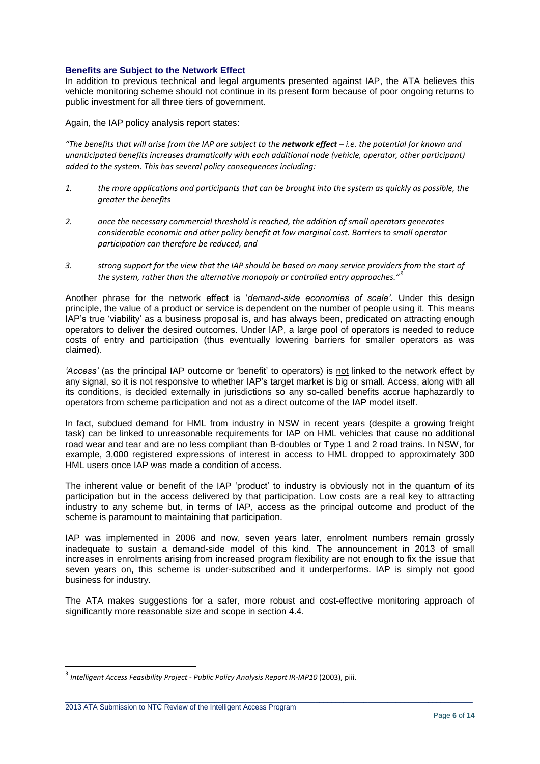#### **Benefits are Subject to the Network Effect**

In addition to previous technical and legal arguments presented against IAP, the ATA believes this vehicle monitoring scheme should not continue in its present form because of poor ongoing returns to public investment for all three tiers of government.

Again, the IAP policy analysis report states:

*"The benefits that will arise from the IAP are subject to the network effect – i.e. the potential for known and unanticipated benefits increases dramatically with each additional node (vehicle, operator, other participant) added to the system. This has several policy consequences including:* 

- *1. the more applications and participants that can be brought into the system as quickly as possible, the greater the benefits*
- *2. once the necessary commercial threshold is reached, the addition of small operators generates considerable economic and other policy benefit at low marginal cost. Barriers to small operator participation can therefore be reduced, and*
- *3. strong support for the view that the IAP should be based on many service providers from the start of the system, rather than the alternative monopoly or controlled entry approaches."<sup>3</sup>*

Another phrase for the network effect is '*demand-side economies of scale'*. Under this design principle, the value of a product or service is dependent on the number of people using it. This means IAP's true 'viability' as a business proposal is, and has always been, predicated on attracting enough operators to deliver the desired outcomes. Under IAP, a large pool of operators is needed to reduce costs of entry and participation (thus eventually lowering barriers for smaller operators as was claimed).

*'Access'* (as the principal IAP outcome or 'benefit' to operators) is not linked to the network effect by any signal, so it is not responsive to whether IAP's target market is big or small. Access, along with all its conditions, is decided externally in jurisdictions so any so-called benefits accrue haphazardly to operators from scheme participation and not as a direct outcome of the IAP model itself.

In fact, subdued demand for HML from industry in NSW in recent years (despite a growing freight task) can be linked to unreasonable requirements for IAP on HML vehicles that cause no additional road wear and tear and are no less compliant than B-doubles or Type 1 and 2 road trains. In NSW, for example, 3,000 registered expressions of interest in access to HML dropped to approximately 300 HML users once IAP was made a condition of access.

The inherent value or benefit of the IAP 'product' to industry is obviously not in the quantum of its participation but in the access delivered by that participation. Low costs are a real key to attracting industry to any scheme but, in terms of IAP, access as the principal outcome and product of the scheme is paramount to maintaining that participation.

IAP was implemented in 2006 and now, seven years later, enrolment numbers remain grossly inadequate to sustain a demand-side model of this kind. The announcement in 2013 of small increases in enrolments arising from increased program flexibility are not enough to fix the issue that seven years on, this scheme is under-subscribed and it underperforms. IAP is simply not good business for industry.

The ATA makes suggestions for a safer, more robust and cost-effective monitoring approach of significantly more reasonable size and scope in section 4.4.

 $\_$  , and the set of the set of the set of the set of the set of the set of the set of the set of the set of the set of the set of the set of the set of the set of the set of the set of the set of the set of the set of th

2013 ATA Submission to NTC Review of the Intelligent Access Program

<sup>3</sup> *Intelligent Access Feasibility Project - Public Policy Analysis Report IR-IAP10* (2003), piii.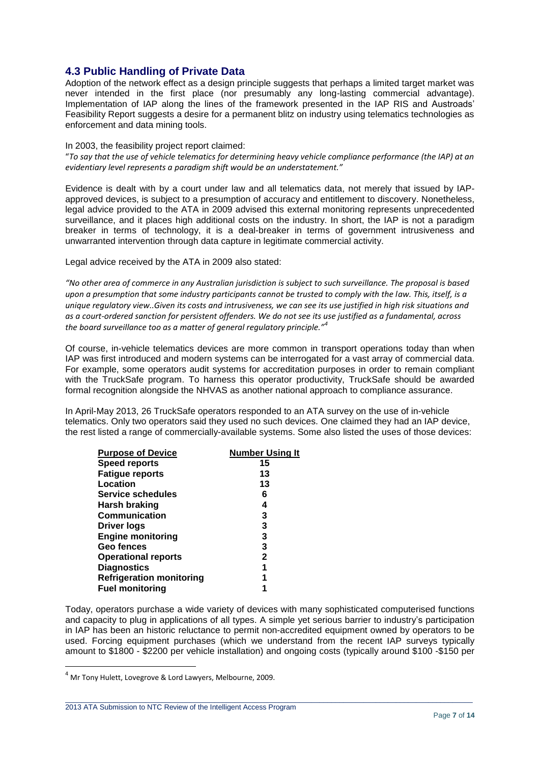### **4.3 Public Handling of Private Data**

Adoption of the network effect as a design principle suggests that perhaps a limited target market was never intended in the first place (nor presumably any long-lasting commercial advantage). Implementation of IAP along the lines of the framework presented in the IAP RIS and Austroads' Feasibility Report suggests a desire for a permanent blitz on industry using telematics technologies as enforcement and data mining tools.

#### In 2003, the feasibility project report claimed:

"*To say that the use of vehicle telematics for determining heavy vehicle compliance performance (the IAP) at an evidentiary level represents a paradigm shift would be an understatement."*

Evidence is dealt with by a court under law and all telematics data, not merely that issued by IAPapproved devices, is subject to a presumption of accuracy and entitlement to discovery. Nonetheless, legal advice provided to the ATA in 2009 advised this external monitoring represents unprecedented surveillance, and it places high additional costs on the industry. In short, the IAP is not a paradigm breaker in terms of technology, it is a deal-breaker in terms of government intrusiveness and unwarranted intervention through data capture in legitimate commercial activity.

Legal advice received by the ATA in 2009 also stated:

*"No other area of commerce in any Australian jurisdiction is subject to such surveillance. The proposal is based upon a presumption that some industry participants cannot be trusted to comply with the law. This, itself, is a unique regulatory view..Given its costs and intrusiveness, we can see its use justified in high risk situations and as a court-ordered sanction for persistent offenders. We do not see its use justified as a fundamental, across the board surveillance too as a matter of general regulatory principle."<sup>4</sup>*

Of course, in-vehicle telematics devices are more common in transport operations today than when IAP was first introduced and modern systems can be interrogated for a vast array of commercial data. For example, some operators audit systems for accreditation purposes in order to remain compliant with the TruckSafe program. To harness this operator productivity, TruckSafe should be awarded formal recognition alongside the NHVAS as another national approach to compliance assurance.

In April-May 2013, 26 TruckSafe operators responded to an ATA survey on the use of in-vehicle telematics. Only two operators said they used no such devices. One claimed they had an IAP device, the rest listed a range of commercially-available systems. Some also listed the uses of those devices:

| <b>Purpose of Device</b>        | <b>Number Using It</b> |  |
|---------------------------------|------------------------|--|
| <b>Speed reports</b>            | 15                     |  |
| <b>Fatigue reports</b>          | 13                     |  |
| Location                        | 13                     |  |
| <b>Service schedules</b>        | 6                      |  |
| Harsh braking                   | 4                      |  |
| <b>Communication</b>            | 3                      |  |
| <b>Driver logs</b>              | 3                      |  |
| <b>Engine monitoring</b>        | 3                      |  |
| <b>Geo fences</b>               | 3                      |  |
| <b>Operational reports</b>      | 2                      |  |
| <b>Diagnostics</b>              | 1                      |  |
| <b>Refrigeration monitoring</b> | 1                      |  |
| <b>Fuel monitoring</b>          |                        |  |
|                                 |                        |  |

Today, operators purchase a wide variety of devices with many sophisticated computerised functions and capacity to plug in applications of all types. A simple yet serious barrier to industry's participation in IAP has been an historic reluctance to permit non-accredited equipment owned by operators to be used. Forcing equipment purchases (which we understand from the recent IAP surveys typically amount to \$1800 - \$2200 per vehicle installation) and ongoing costs (typically around \$100 -\$150 per

 $\_$  , and the set of the set of the set of the set of the set of the set of the set of the set of the set of the set of the set of the set of the set of the set of the set of the set of the set of the set of the set of th

<sup>4</sup> Mr Tony Hulett, Lovegrove & Lord Lawyers, Melbourne, 2009.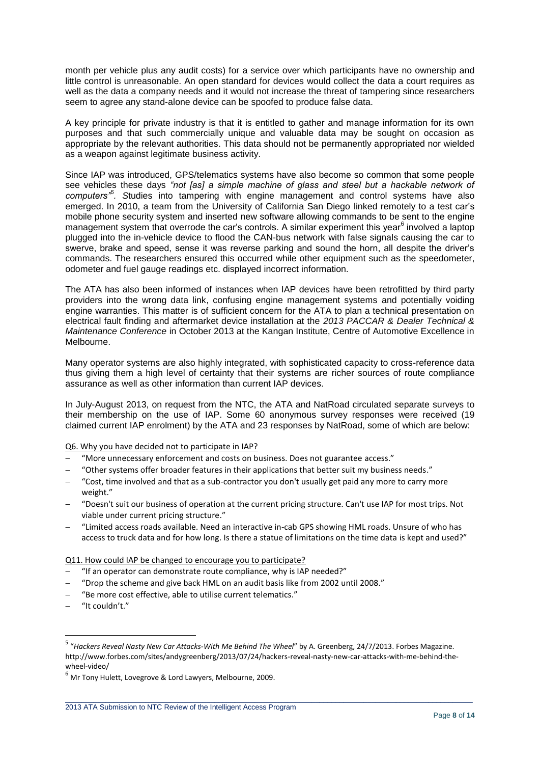month per vehicle plus any audit costs) for a service over which participants have no ownership and little control is unreasonable. An open standard for devices would collect the data a court requires as well as the data a company needs and it would not increase the threat of tampering since researchers seem to agree any stand-alone device can be spoofed to produce false data.

A key principle for private industry is that it is entitled to gather and manage information for its own purposes and that such commercially unique and valuable data may be sought on occasion as appropriate by the relevant authorities. This data should not be permanently appropriated nor wielded as a weapon against legitimate business activity.

Since IAP was introduced, GPS/telematics systems have also become so common that some people see vehicles these days *"not [as] a simple machine of glass and steel but a hackable network of computers"<sup>5</sup> . S*tudies into tampering with engine management and control systems have also emerged. In 2010, a team from the University of California San Diego linked remotely to a test car's mobile phone security system and inserted new software allowing commands to be sent to the engine management system that overrode the car's controls. A similar experiment this year<sup>6</sup> involved a laptop plugged into the in-vehicle device to flood the CAN-bus network with false signals causing the car to swerve, brake and speed, sense it was reverse parking and sound the horn, all despite the driver's commands. The researchers ensured this occurred while other equipment such as the speedometer, odometer and fuel gauge readings etc. displayed incorrect information.

The ATA has also been informed of instances when IAP devices have been retrofitted by third party providers into the wrong data link, confusing engine management systems and potentially voiding engine warranties. This matter is of sufficient concern for the ATA to plan a technical presentation on electrical fault finding and aftermarket device installation at the *2013 PACCAR & Dealer Technical & Maintenance Conference* in October 2013 at the Kangan Institute, Centre of Automotive Excellence in Melbourne.

Many operator systems are also highly integrated, with sophisticated capacity to cross-reference data thus giving them a high level of certainty that their systems are richer sources of route compliance assurance as well as other information than current IAP devices.

In July-August 2013, on request from the NTC, the ATA and NatRoad circulated separate surveys to their membership on the use of IAP. Some 60 anonymous survey responses were received (19 claimed current IAP enrolment) by the ATA and 23 responses by NatRoad, some of which are below:

Q6. Why you have decided not to participate in IAP?

- "More unnecessary enforcement and costs on business. Does not guarantee access."
- "Other systems offer broader features in their applications that better suit my business needs."
- "Cost, time involved and that as a sub-contractor you don't usually get paid any more to carry more weight."
- "Doesn't suit our business of operation at the current pricing structure. Can't use IAP for most trips. Not viable under current pricing structure."
- "Limited access roads available. Need an interactive in-cab GPS showing HML roads. Unsure of who has access to truck data and for how long. Is there a statue of limitations on the time data is kept and used?"

Q11. How could IAP be changed to encourage you to participate?

- "If an operator can demonstrate route compliance, why is IAP needed?"
- "Drop the scheme and give back HML on an audit basis like from 2002 until 2008."
- "Be more cost effective, able to utilise current telematics."
- "It couldn't."

 5 "*Hackers Reveal Nasty New Car Attacks-With Me Behind The Wheel*" by A. Greenberg, 24/7/2013. Forbes Magazine. http://www.forbes.com/sites/andygreenberg/2013/07/24/hackers-reveal-nasty-new-car-attacks-with-me-behind-thewheel-video/

 $^6$  Mr Tony Hulett, Lovegrove & Lord Lawyers, Melbourne, 2009.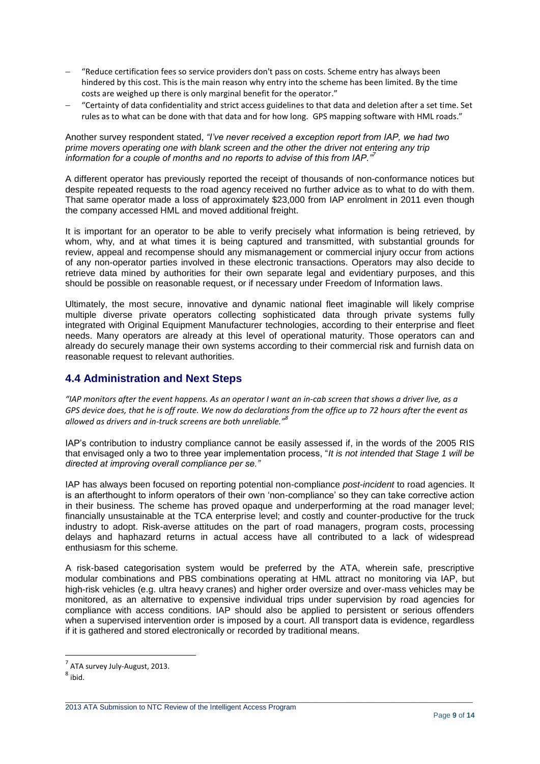- "Reduce certification fees so service providers don't pass on costs. Scheme entry has always been hindered by this cost. This is the main reason why entry into the scheme has been limited. By the time costs are weighed up there is only marginal benefit for the operator."
- "Certainty of data confidentiality and strict access guidelines to that data and deletion after a set time. Set rules as to what can be done with that data and for how long. GPS mapping software with HML roads."

#### Another survey respondent stated, *"I've never received a exception report from IAP, we had two prime movers operating one with blank screen and the other the driver not entering any trip information for a couple of months and no reports to advise of this from IAP."<sup>7</sup>*

A different operator has previously reported the receipt of thousands of non-conformance notices but despite repeated requests to the road agency received no further advice as to what to do with them. That same operator made a loss of approximately \$23,000 from IAP enrolment in 2011 even though the company accessed HML and moved additional freight.

It is important for an operator to be able to verify precisely what information is being retrieved, by whom, why, and at what times it is being captured and transmitted, with substantial grounds for review, appeal and recompense should any mismanagement or commercial injury occur from actions of any non-operator parties involved in these electronic transactions. Operators may also decide to retrieve data mined by authorities for their own separate legal and evidentiary purposes, and this should be possible on reasonable request, or if necessary under Freedom of Information laws.

Ultimately, the most secure, innovative and dynamic national fleet imaginable will likely comprise multiple diverse private operators collecting sophisticated data through private systems fully integrated with Original Equipment Manufacturer technologies, according to their enterprise and fleet needs. Many operators are already at this level of operational maturity. Those operators can and already do securely manage their own systems according to their commercial risk and furnish data on reasonable request to relevant authorities.

### **4.4 Administration and Next Steps**

*"IAP monitors after the event happens. As an operator I want an in-cab screen that shows a driver live, as a GPS device does, that he is off route. We now do declarations from the office up to 72 hours after the event as allowed as drivers and in-truck screens are both unreliable." 8*

IAP's contribution to industry compliance cannot be easily assessed if, in the words of the 2005 RIS that envisaged only a two to three year implementation process, "*It is not intended that Stage 1 will be directed at improving overall compliance per se."*

IAP has always been focused on reporting potential non-compliance *post-incident* to road agencies. It is an afterthought to inform operators of their own 'non-compliance' so they can take corrective action in their business. The scheme has proved opaque and underperforming at the road manager level; financially unsustainable at the TCA enterprise level; and costly and counter-productive for the truck industry to adopt. Risk-averse attitudes on the part of road managers, program costs, processing delays and haphazard returns in actual access have all contributed to a lack of widespread enthusiasm for this scheme.

A risk-based categorisation system would be preferred by the ATA, wherein safe, prescriptive modular combinations and PBS combinations operating at HML attract no monitoring via IAP, but high-risk vehicles (e.g. ultra heavy cranes) and higher order oversize and over-mass vehicles may be monitored, as an alternative to expensive individual trips under supervision by road agencies for compliance with access conditions. IAP should also be applied to persistent or serious offenders when a supervised intervention order is imposed by a court. All transport data is evidence, regardless if it is gathered and stored electronically or recorded by traditional means.

 $\_$  , and the set of the set of the set of the set of the set of the set of the set of the set of the set of the set of the set of the set of the set of the set of the set of the set of the set of the set of the set of th

 $^7$  ATA survey July-August, 2013.

 $^8$  ibid.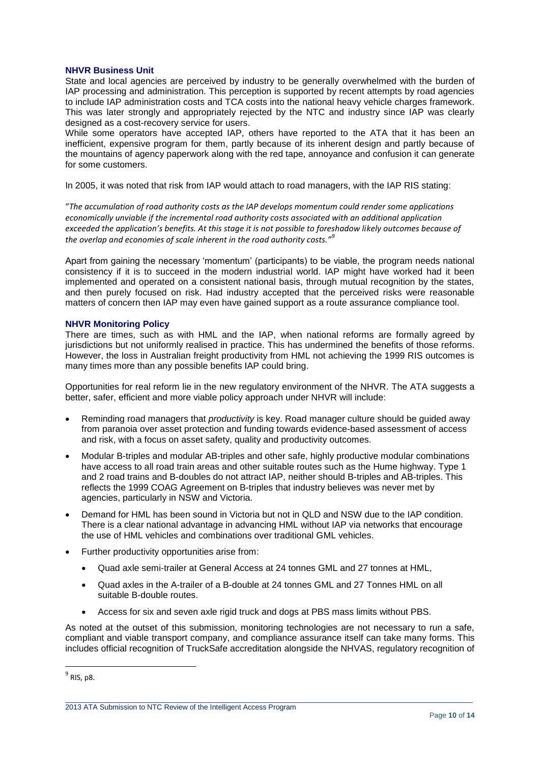#### **NHVR Business Unit**

State and local agencies are perceived by industry to be generally overwhelmed with the burden of IAP processing and administration. This perception is supported by recent attempts by road agencies to include IAP administration costs and TCA costs into the national heavy vehicle charges framework. This was later strongly and appropriately rejected by the NTC and industry since IAP was clearly designed as a cost-recovery service for users.

While some operators have accepted IAP, others have reported to the ATA that it has been an inefficient, expensive program for them, partly because of its inherent design and partly because of the mountains of agency paperwork along with the red tape, annoyance and confusion it can generate for some customers.

In 2005, it was noted that risk from IAP would attach to road managers, with the IAP RIS stating:

"*The accumulation of road authority costs as the IAP develops momentum could render some applications economically unviable if the incremental road authority costs associated with an additional application exceeded the application's benefits. At this stage it is not possible to foreshadow likely outcomes because of the overlap and economies of scale inherent in the road authority costs."<sup>9</sup>*

Apart from gaining the necessary 'momentum' (participants) to be viable, the program needs national consistency if it is to succeed in the modern industrial world. IAP might have worked had it been implemented and operated on a consistent national basis, through mutual recognition by the states, and then purely focused on risk. Had industry accepted that the perceived risks were reasonable matters of concern then IAP may even have gained support as a route assurance compliance tool.

#### **NHVR Monitoring Policy**

There are times, such as with HML and the IAP, when national reforms are formally agreed by jurisdictions but not uniformly realised in practice. This has undermined the benefits of those reforms. However, the loss in Australian freight productivity from HML not achieving the 1999 RIS outcomes is many times more than any possible benefits IAP could bring.

Opportunities for real reform lie in the new regulatory environment of the NHVR. The ATA suggests a better, safer, efficient and more viable policy approach under NHVR will include:

- Reminding road managers that *productivity* is key. Road manager culture should be guided away from paranoia over asset protection and funding towards evidence-based assessment of access and risk, with a focus on asset safety, quality and productivity outcomes.
- Modular B-triples and modular AB-triples and other safe, highly productive modular combinations have access to all road train areas and other suitable routes such as the Hume highway. Type 1 and 2 road trains and B-doubles do not attract IAP, neither should B-triples and AB-triples. This reflects the 1999 COAG Agreement on B-triples that industry believes was never met by agencies, particularly in NSW and Victoria.
- Demand for HML has been sound in Victoria but not in QLD and NSW due to the IAP condition. There is a clear national advantage in advancing HML without IAP via networks that encourage the use of HML vehicles and combinations over traditional GML vehicles.
- Further productivity opportunities arise from:
	- Quad axle semi-trailer at General Access at 24 tonnes GML and 27 tonnes at HML,
	- Quad axles in the A-trailer of a B-double at 24 tonnes GML and 27 Tonnes HML on all suitable B-double routes.
	- Access for six and seven axle rigid truck and dogs at PBS mass limits without PBS.

As noted at the outset of this submission, monitoring technologies are not necessary to run a safe, compliant and viable transport company, and compliance assurance itself can take many forms. This includes official recognition of TruckSafe accreditation alongside the NHVAS, regulatory recognition of

 $\_$  , and the set of the set of the set of the set of the set of the set of the set of the set of the set of the set of the set of the set of the set of the set of the set of the set of the set of the set of the set of th

 $^9$  RIS, p8.

<sup>2013</sup> ATA Submission to NTC Review of the Intelligent Access Program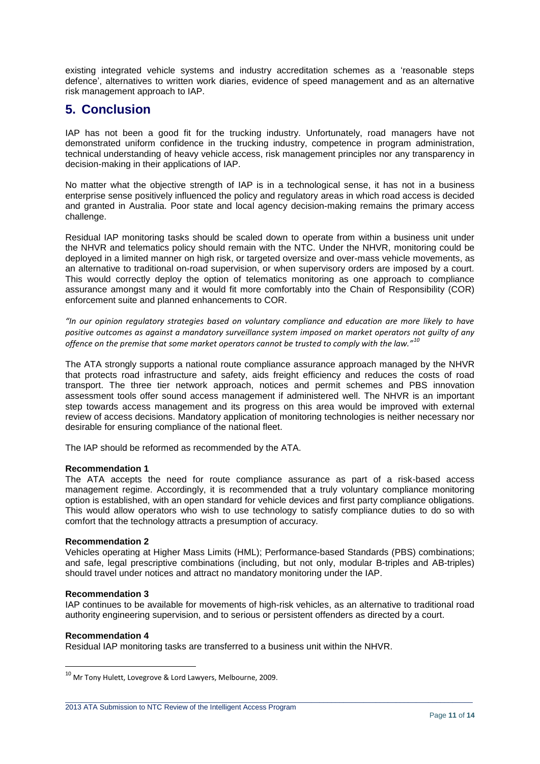existing integrated vehicle systems and industry accreditation schemes as a 'reasonable steps defence', alternatives to written work diaries, evidence of speed management and as an alternative risk management approach to IAP.

# **5. Conclusion**

IAP has not been a good fit for the trucking industry. Unfortunately, road managers have not demonstrated uniform confidence in the trucking industry, competence in program administration, technical understanding of heavy vehicle access, risk management principles nor any transparency in decision-making in their applications of IAP.

No matter what the objective strength of IAP is in a technological sense, it has not in a business enterprise sense positively influenced the policy and regulatory areas in which road access is decided and granted in Australia. Poor state and local agency decision-making remains the primary access challenge.

Residual IAP monitoring tasks should be scaled down to operate from within a business unit under the NHVR and telematics policy should remain with the NTC. Under the NHVR, monitoring could be deployed in a limited manner on high risk, or targeted oversize and over-mass vehicle movements, as an alternative to traditional on-road supervision, or when supervisory orders are imposed by a court. This would correctly deploy the option of telematics monitoring as one approach to compliance assurance amongst many and it would fit more comfortably into the Chain of Responsibility (COR) enforcement suite and planned enhancements to COR.

*"In our opinion regulatory strategies based on voluntary compliance and education are more likely to have positive outcomes as against a mandatory surveillance system imposed on market operators not guilty of any offence on the premise that some market operators cannot be trusted to comply with the law."<sup>10</sup>*

The ATA strongly supports a national route compliance assurance approach managed by the NHVR that protects road infrastructure and safety, aids freight efficiency and reduces the costs of road transport. The three tier network approach, notices and permit schemes and PBS innovation assessment tools offer sound access management if administered well. The NHVR is an important step towards access management and its progress on this area would be improved with external review of access decisions. Mandatory application of monitoring technologies is neither necessary nor desirable for ensuring compliance of the national fleet.

The IAP should be reformed as recommended by the ATA.

#### **Recommendation 1**

The ATA accepts the need for route compliance assurance as part of a risk-based access management regime. Accordingly, it is recommended that a truly voluntary compliance monitoring option is established, with an open standard for vehicle devices and first party compliance obligations. This would allow operators who wish to use technology to satisfy compliance duties to do so with comfort that the technology attracts a presumption of accuracy.

#### **Recommendation 2**

Vehicles operating at Higher Mass Limits (HML); Performance-based Standards (PBS) combinations; and safe, legal prescriptive combinations (including, but not only, modular B-triples and AB-triples) should travel under notices and attract no mandatory monitoring under the IAP.

#### **Recommendation 3**

IAP continues to be available for movements of high-risk vehicles, as an alternative to traditional road authority engineering supervision, and to serious or persistent offenders as directed by a court.

 $\_$  , and the set of the set of the set of the set of the set of the set of the set of the set of the set of the set of the set of the set of the set of the set of the set of the set of the set of the set of the set of th

#### **Recommendation 4**

**.** 

Residual IAP monitoring tasks are transferred to a business unit within the NHVR.

 $^{10}$  Mr Tony Hulett, Lovegrove & Lord Lawyers, Melbourne, 2009.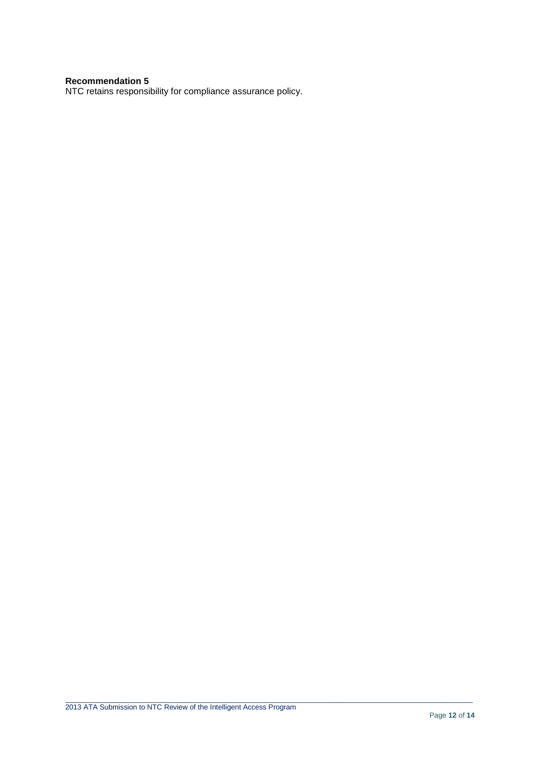#### **Recommendation 5**

NTC retains responsibility for compliance assurance policy.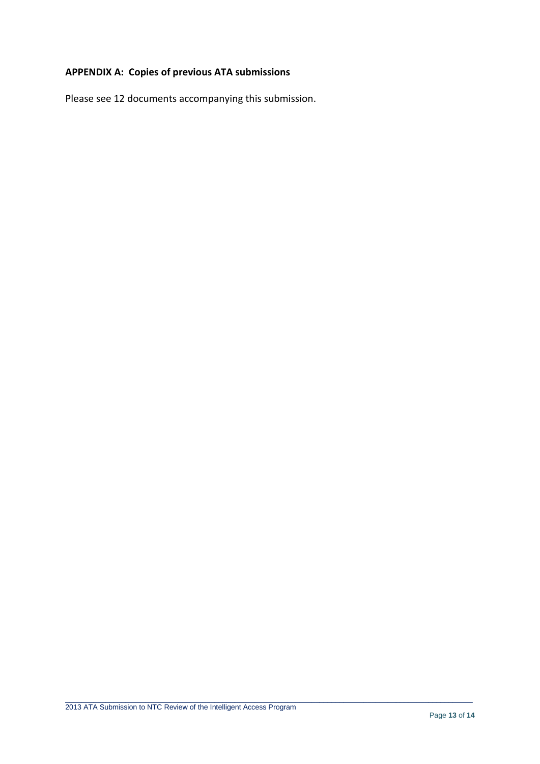## **APPENDIX A: Copies of previous ATA submissions**

Please see 12 documents accompanying this submission.